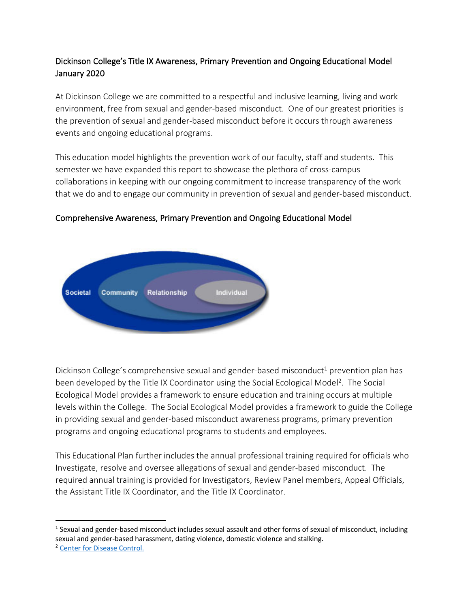# Dickinson College's Title IX Awareness, Primary Prevention and Ongoing Educational Model January 2020

At Dickinson College we are committed to a respectful and inclusive learning, living and work environment, free from sexual and gender-based misconduct. One of our greatest priorities is the prevention of sexual and gender-based misconduct before it occurs through awareness events and ongoing educational programs.

This education model highlights the prevention work of our faculty, staff and students. This semester we have expanded this report to showcase the plethora of cross-campus collaborations in keeping with our ongoing commitment to increase transparency of the work that we do and to engage our community in prevention of sexual and gender-based misconduct.



### Comprehensive Awareness, Primary Prevention and Ongoing Educational Model

Dickinson College's comprehensive sexual and gender-based misconduct<sup>1</sup> prevention plan has been developed by the Title IX Coordinator using the Social Ecological Model<sup>2</sup>. The Social Ecological Model provides a framework to ensure education and training occurs at multiple levels within the College. The Social Ecological Model provides a framework to guide the College in providing sexual and gender-based misconduct awareness programs, primary prevention programs and ongoing educational programs to students and employees.

This Educational Plan further includes the annual professional training required for officials who Investigate, resolve and oversee allegations of sexual and gender-based misconduct. The required annual training is provided for Investigators, Review Panel members, Appeal Officials, the Assistant Title IX Coordinator, and the Title IX Coordinator.

 $1$  Sexual and gender-based misconduct includes sexual assault and other forms of sexual of misconduct, including sexual and gender-based harassment, dating violence, domestic violence and stalking.<br><sup>2</sup> Center for Disease Control.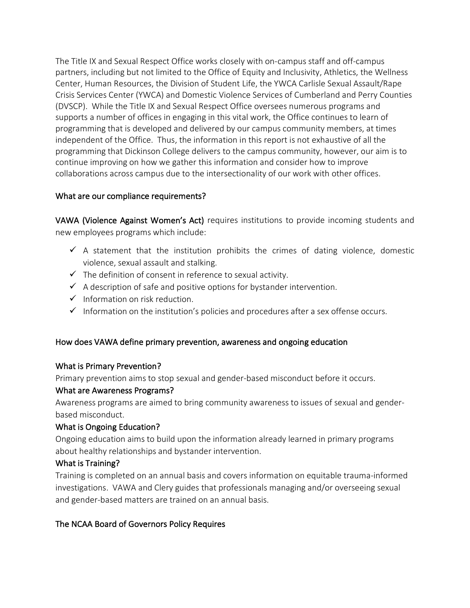The Title IX and Sexual Respect Office works closely with on-campus staff and off-campus partners, including but not limited to the Office of Equity and Inclusivity, Athletics, the Wellness Center, Human Resources, the Division of Student Life, the YWCA Carlisle Sexual Assault/Rape Crisis Services Center (YWCA) and Domestic Violence Services of Cumberland and Perry Counties (DVSCP). While the Title IX and Sexual Respect Office oversees numerous programs and supports a number of offices in engaging in this vital work, the Office continues to learn of programming that is developed and delivered by our campus community members, at times independent of the Office. Thus, the information in this report is not exhaustive of all the programming that Dickinson College delivers to the campus community, however, our aim is to continue improving on how we gather this information and consider how to improve collaborations across campus due to the intersectionality of our work with other offices.

### What are our compliance requirements?

VAWA (Violence Against Women's Act) requires institutions to provide incoming students and new employees programs which include:

- $\checkmark$  A statement that the institution prohibits the crimes of dating violence, domestic violence, sexual assault and stalking.
- $\checkmark$  The definition of consent in reference to sexual activity.
- $\checkmark$  A description of safe and positive options for bystander intervention.
- $\checkmark$  Information on risk reduction.
- $\checkmark$  Information on the institution's policies and procedures after a sex offense occurs.

# How does VAWA define primary prevention, awareness and ongoing education

### What is Primary Prevention?

Primary prevention aims to stop sexual and gender-based misconduct before it occurs.

### What are Awareness Programs?

Awareness programs are aimed to bring community awareness to issues of sexual and genderbased misconduct.

# What is Ongoing Education?

Ongoing education aims to build upon the information already learned in primary programs about healthy relationships and bystander intervention.

# What is Training?

Training is completed on an annual basis and covers information on equitable trauma-informed investigations. VAWA and Clery guides that professionals managing and/or overseeing sexual and gender-based matters are trained on an annual basis.

# The NCAA Board of Governors Policy Requires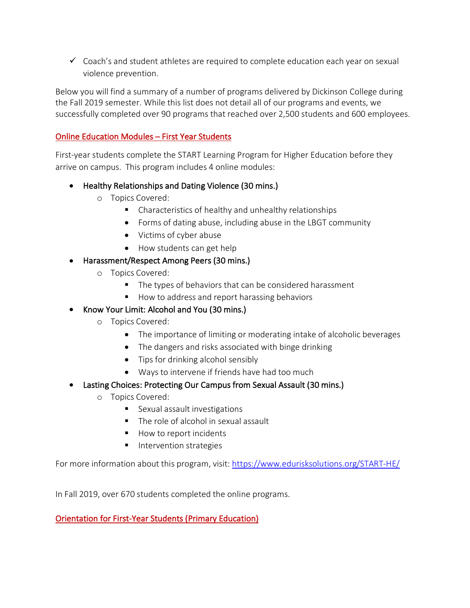$\checkmark$  Coach's and student athletes are required to complete education each year on sexual violence prevention.

Below you will find a summary of a number of programs delivered by Dickinson College during the Fall 2019 semester. While this list does not detail all of our programs and events, we successfully completed over 90 programs that reached over 2,500 students and 600 employees.

### Online Education Modules – First Year Students

First-year students complete the START Learning Program for Higher Education before they arrive on campus. This program includes 4 online modules:

- Healthy Relationships and Dating Violence (30 mins.)
	- o Topics Covered:
		- Characteristics of healthy and unhealthy relationships
		- Forms of dating abuse, including abuse in the LBGT community
		- Victims of cyber abuse
		- How students can get help
- Harassment/Respect Among Peers (30 mins.)
	- o Topics Covered:
		- The types of behaviors that can be considered harassment
		- How to address and report harassing behaviors
- Know Your Limit: Alcohol and You (30 mins.)
	- o Topics Covered:
		- The importance of limiting or moderating intake of alcoholic beverages
		- The dangers and risks associated with binge drinking
		- Tips for drinking alcohol sensibly
		- Ways to intervene if friends have had too much
- Lasting Choices: Protecting Our Campus from Sexual Assault (30 mins.)
	- o Topics Covered:
		- Sexual assault investigations
		- The role of alcohol in sexual assault
		- How to report incidents
		- Intervention strategies

For more information about this program, visit: https://www.edurisksolutions.org/START-HE/

In Fall 2019, over 670 students completed the online programs.

# Orientation for First-Year Students (Primary Education)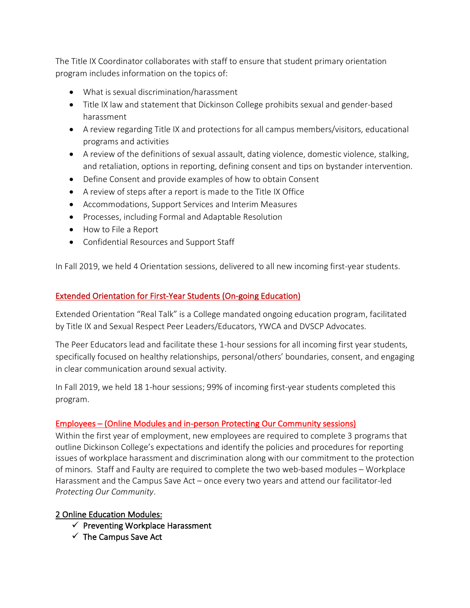The Title IX Coordinator collaborates with staff to ensure that student primary orientation program includes information on the topics of:

- What is sexual discrimination/harassment
- Title IX law and statement that Dickinson College prohibits sexual and gender-based harassment
- A review regarding Title IX and protections for all campus members/visitors, educational programs and activities
- A review of the definitions of sexual assault, dating violence, domestic violence, stalking, and retaliation, options in reporting, defining consent and tips on bystander intervention.
- Define Consent and provide examples of how to obtain Consent
- A review of steps after a report is made to the Title IX Office
- Accommodations, Support Services and Interim Measures
- Processes, including Formal and Adaptable Resolution
- How to File a Report
- Confidential Resources and Support Staff

In Fall 2019, we held 4 Orientation sessions, delivered to all new incoming first-year students.

### Extended Orientation for First-Year Students (On-going Education)

Extended Orientation "Real Talk" is a College mandated ongoing education program, facilitated by Title IX and Sexual Respect Peer Leaders/Educators, YWCA and DVSCP Advocates.

The Peer Educators lead and facilitate these 1-hour sessions for all incoming first year students, specifically focused on healthy relationships, personal/others' boundaries, consent, and engaging in clear communication around sexual activity.

In Fall 2019, we held 18 1-hour sessions; 99% of incoming first-year students completed this program.

### Employees – (Online Modules and in-person Protecting Our Community sessions)

Within the first year of employment, new employees are required to complete 3 programs that outline Dickinson College's expectations and identify the policies and procedures for reporting issues of workplace harassment and discrimination along with our commitment to the protection of minors. Staff and Faulty are required to complete the two web-based modules – Workplace Harassment and the Campus Save Act – once every two years and attend our facilitator-led *Protecting Our Community*.

### 2 Online Education Modules:

- $\checkmark$  Preventing Workplace Harassment
- $\checkmark$  The Campus Save Act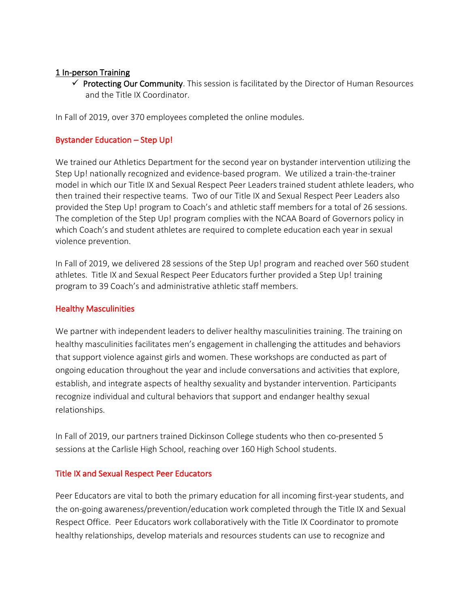#### 1 In-person Training

 $\checkmark$  Protecting Our Community. This session is facilitated by the Director of Human Resources and the Title IX Coordinator.

In Fall of 2019, over 370 employees completed the online modules.

#### Bystander Education – Step Up!

We trained our Athletics Department for the second year on bystander intervention utilizing the Step Up! nationally recognized and evidence-based program. We utilized a train-the-trainer model in which our Title IX and Sexual Respect Peer Leaders trained student athlete leaders, who then trained their respective teams. Two of our Title IX and Sexual Respect Peer Leaders also provided the Step Up! program to Coach's and athletic staff members for a total of 26 sessions. The completion of the Step Up! program complies with the NCAA Board of Governors policy in which Coach's and student athletes are required to complete education each year in sexual violence prevention.

In Fall of 2019, we delivered 28 sessions of the Step Up! program and reached over 560 student athletes. Title IX and Sexual Respect Peer Educators further provided a Step Up! training program to 39 Coach's and administrative athletic staff members.

#### Healthy Masculinities

We partner with independent leaders to deliver healthy masculinities training. The training on healthy masculinities facilitates men's engagement in challenging the attitudes and behaviors that support violence against girls and women. These workshops are conducted as part of ongoing education throughout the year and include conversations and activities that explore, establish, and integrate aspects of healthy sexuality and bystander intervention. Participants recognize individual and cultural behaviors that support and endanger healthy sexual relationships.

In Fall of 2019, our partners trained Dickinson College students who then co-presented 5 sessions at the Carlisle High School, reaching over 160 High School students.

#### Title IX and Sexual Respect Peer Educators

Peer Educators are vital to both the primary education for all incoming first-year students, and the on-going awareness/prevention/education work completed through the Title IX and Sexual Respect Office. Peer Educators work collaboratively with the Title IX Coordinator to promote healthy relationships, develop materials and resources students can use to recognize and